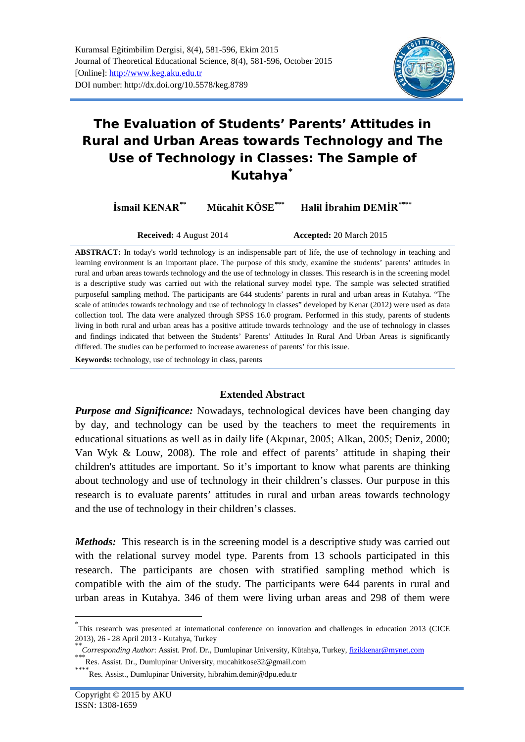

# **The Evaluation of Students' Parents' Attitudes in Rural and Urban Areas towards Technology and The Use of Technology in Classes: The Sample of Kutahya[\\*](#page-0-0)**

**İsmail KENAR[\\*\\*](#page-0-1) Mücahit KÖSE[\\*\\*\\*](#page-0-2) Halil İbrahim DEMİR[\\*\\*\\*\\*](#page-0-3)**

**Received:** 4 August 2014 **Accepted:** 20 March 2015

**ABSTRACT:** In today's world technology is an indispensable part of life, the use of technology in teaching and learning environment is an important place. The purpose of this study, examine the students' parents' attitudes in rural and urban areas towards technology and the use of technology in classes. This research is in the screening model is a descriptive study was carried out with the relational survey model type. The sample was selected stratified purposeful sampling method. The participants are 644 students' parents in rural and urban areas in Kutahya. "The scale of attitudes towards technology and use of technology in classes" developed by Kenar (2012) were used as data collection tool. The data were analyzed through SPSS 16.0 program. Performed in this study, parents of students living in both rural and urban areas has a positive attitude towards technology and the use of technology in classes and findings indicated that between the Students' Parents' Attitudes In Rural And Urban Areas is significantly differed. The studies can be performed to increase awareness of parents' for this issue.

**Keywords:** technology, use of technology in class, parents

# **Extended Abstract**

*Purpose and Significance:* Nowadays, technological devices have been changing day by day, and technology can be used by the teachers to meet the requirements in educational situations as well as in daily life (Akpınar, 2005; Alkan, 2005; Deniz, 2000; Van Wyk & Louw, 2008). The role and effect of parents' attitude in shaping their children's attitudes are important. So it's important to know what parents are thinking about technology and use of technology in their children's classes. Our purpose in this research is to evaluate parents' attitudes in rural and urban areas towards technology and the use of technology in their children's classes.

*Methods*: This research is in the screening model is a descriptive study was carried out with the relational survey model type. Parents from 13 schools participated in this research. The participants are chosen with stratified sampling method which is compatible with the aim of the study. The participants were 644 parents in rural and urban areas in Kutahya. 346 of them were living urban areas and 298 of them were

<span id="page-0-0"></span> <sup>\*</sup> This research was presented at international conference on innovation and challenges in education 2013 (CICE 2013), 26 - 28 April 2013 - Kutahya, Turkey<br>\**\*Corresponding Author*: Assist. Prof. Dr., Dumlupinar University, Kütahya, Turkey, <u>fizikkenar@mynet.com</u><br>\*\*\*Res. Assist. Dr., Dumlupinar University, mucahitkose32@gmail.com

<span id="page-0-2"></span><span id="page-0-1"></span>

<span id="page-0-3"></span> $\degree$ Res. Assist., Dumlupinar University, hibrahim.demir@dpu.edu.tr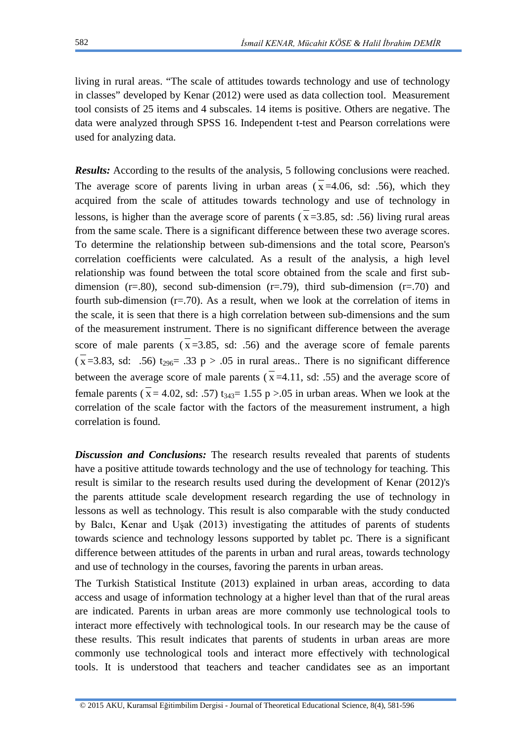living in rural areas. "The scale of attitudes towards technology and use of technology in classes" developed by Kenar (2012) were used as data collection tool. Measurement tool consists of 25 items and 4 subscales. 14 items is positive. Others are negative. The data were analyzed through SPSS 16. Independent t-test and Pearson correlations were used for analyzing data.

*Results:* According to the results of the analysis, 5 following conclusions were reached. The average score of parents living in urban areas  $(\overline{x} = 4.06, \text{ sd}: .56)$ , which they acquired from the scale of attitudes towards technology and use of technology in lessons, is higher than the average score of parents ( $\bar{x}$ =3.85, sd: .56) living rural areas from the same scale. There is a significant difference between these two average scores. To determine the relationship between sub-dimensions and the total score, Pearson's correlation coefficients were calculated. As a result of the analysis, a high level relationship was found between the total score obtained from the scale and first subdimension ( $r=.80$ ), second sub-dimension ( $r=.79$ ), third sub-dimension ( $r=.70$ ) and fourth sub-dimension  $(r=.70)$ . As a result, when we look at the correlation of items in the scale, it is seen that there is a high correlation between sub-dimensions and the sum of the measurement instrument. There is no significant difference between the average score of male parents  $(\bar{x}=3.85, \text{ sd}: .56)$  and the average score of female parents  $(\bar{x}$ =3.83, sd: .56) t<sub>296</sub>= .33 p > .05 in rural areas.. There is no significant difference between the average score of male parents  $(\bar{x} = 4.11, \text{ sd}: .55)$  and the average score of female parents ( $\bar{x}$  = 4.02, sd: .57) t<sub>343</sub> = 1.55 p > .05 in urban areas. When we look at the correlation of the scale factor with the factors of the measurement instrument, a high correlation is found.

*Discussion and Conclusions:* The research results revealed that parents of students have a positive attitude towards technology and the use of technology for teaching. This result is similar to the research results used during the development of Kenar (2012)'s the parents attitude scale development research regarding the use of technology in lessons as well as technology. This result is also comparable with the study conducted by Balcı, Kenar and Uşak (2013) investigating the attitudes of parents of students towards science and technology lessons supported by tablet pc. There is a significant difference between attitudes of the parents in urban and rural areas, towards technology and use of technology in the courses, favoring the parents in urban areas.

The Turkish Statistical Institute (2013) explained in urban areas, according to data access and usage of information technology at a higher level than that of the rural areas are indicated. Parents in urban areas are more commonly use technological tools to interact more effectively with technological tools. In our research may be the cause of these results. This result indicates that parents of students in urban areas are more commonly use technological tools and interact more effectively with technological tools. It is understood that teachers and teacher candidates see as an important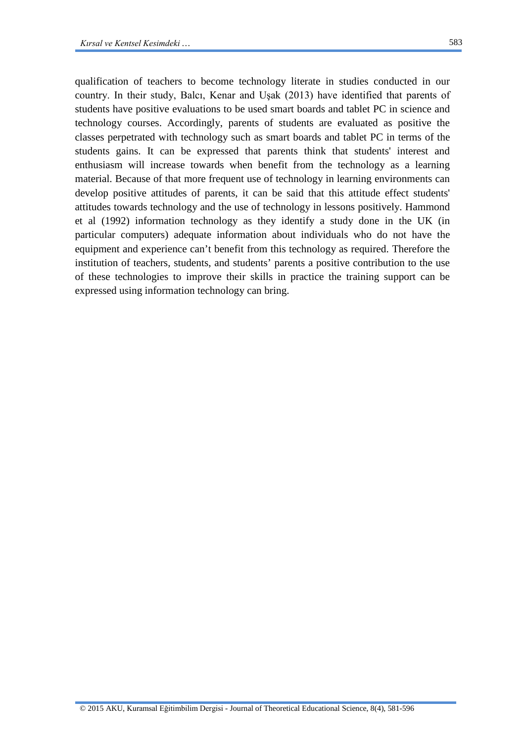qualification of teachers to become technology literate in studies conducted in our country. In their study, Balcı, Kenar and Uşak (2013) have identified that parents of students have positive evaluations to be used smart boards and tablet PC in science and technology courses. Accordingly, parents of students are evaluated as positive the classes perpetrated with technology such as smart boards and tablet PC in terms of the students gains. It can be expressed that parents think that students' interest and enthusiasm will increase towards when benefit from the technology as a learning material. Because of that more frequent use of technology in learning environments can develop positive attitudes of parents, it can be said that this attitude effect students' attitudes towards technology and the use of technology in lessons positively. Hammond et al (1992) information technology as they identify a study done in the UK (in particular computers) adequate information about individuals who do not have the equipment and experience can't benefit from this technology as required. Therefore the institution of teachers, students, and students' parents a positive contribution to the use of these technologies to improve their skills in practice the training support can be expressed using information technology can bring.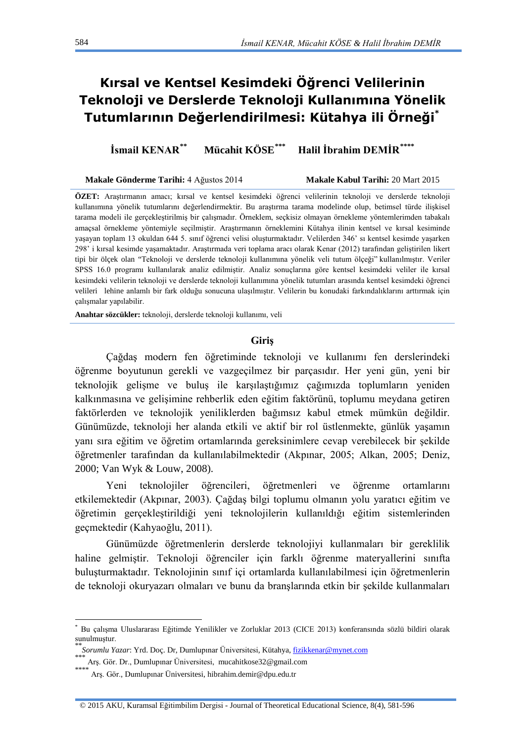# **Kırsal ve Kentsel Kesimdeki Öğrenci Velilerinin Teknoloji ve Derslerde Teknoloji Kullanımına Yönelik Tutumlarının Değerlendirilmesi: Kütahya ili Örneği[\\*](#page-3-0)**

**İsmail KENAR[\\*\\*](#page-3-0) Mücahit KÖSE[\\*\\*\\*](#page-3-0) Halil İbrahim DEMİR[\\*\\*\\*\\*](#page-3-0)**

**Makale Gönderme Tarihi:** 4 Ağustos 2014 **Makale Kabul Tarihi:** 20 Mart 2015

**ÖZET:** Araştırmanın amacı; kırsal ve kentsel kesimdeki öğrenci velilerinin teknoloji ve derslerde teknoloji kullanımına yönelik tutumlarını değerlendirmektir. Bu araştırma tarama modelinde olup, betimsel türde ilişkisel tarama modeli ile gerçekleştirilmiş bir çalışmadır. Örneklem, seçkisiz olmayan örnekleme yöntemlerimden tabakalı amaçsal örnekleme yöntemiyle seçilmiştir. Araştırmanın örneklemini Kütahya ilinin kentsel ve kırsal kesiminde yaşayan toplam 13 okuldan 644 5. sınıf öğrenci velisi oluşturmaktadır. Velilerden 346' sı kentsel kesimde yaşarken 298' i kırsal kesimde yaşamaktadır. Araştırmada veri toplama aracı olarak Kenar (2012) tarafından geliştirilen likert tipi bir ölçek olan "Teknoloji ve derslerde teknoloji kullanımına yönelik veli tutum ölçeği" kullanılmıştır. Veriler SPSS 16.0 programı kullanılarak analiz edilmiştir. Analiz sonuçlarına göre kentsel kesimdeki veliler ile kırsal kesimdeki velilerin teknoloji ve derslerde teknoloji kullanımına yönelik tutumları arasında kentsel kesimdeki öğrenci velileri lehine anlamlı bir fark olduğu sonucuna ulaşılmıştır. Velilerin bu konudaki farkındalıklarını arttırmak için çalışmalar yapılabilir.

**Anahtar sözcükler:** teknoloji, derslerde teknoloji kullanımı, veli

#### **Giriş**

Çağdaş modern fen öğretiminde teknoloji ve kullanımı fen derslerindeki öğrenme boyutunun gerekli ve vazgeçilmez bir parçasıdır. Her yeni gün, yeni bir teknolojik gelişme ve buluş ile karşılaştığımız çağımızda toplumların yeniden kalkınmasına ve gelişimine rehberlik eden eğitim faktörünü, toplumu meydana getiren faktörlerden ve teknolojik yeniliklerden bağımsız kabul etmek mümkün değildir. Günümüzde, teknoloji her alanda etkili ve aktif bir rol üstlenmekte, günlük yaşamın yanı sıra eğitim ve öğretim ortamlarında gereksinimlere cevap verebilecek bir şekilde öğretmenler tarafından da kullanılabilmektedir (Akpınar, 2005; Alkan, 2005; Deniz, 2000; Van Wyk & Louw, 2008).

Yeni teknolojiler öğrencileri, öğretmenleri ve öğrenme ortamlarını etkilemektedir (Akpınar, 2003). Çağdaş bilgi toplumu olmanın yolu yaratıcı eğitim ve öğretimin gerçekleştirildiği yeni teknolojilerin kullanıldığı eğitim sistemlerinden geçmektedir (Kahyaoğlu, 2011).

Günümüzde öğretmenlerin derslerde teknolojiyi kullanmaları bir gereklilik haline gelmiştir. Teknoloji öğrenciler için farklı öğrenme materyallerini sınıfta buluşturmaktadır. Teknolojinin sınıf içi ortamlarda kullanılabilmesi için öğretmenlerin de teknoloji okuryazarı olmaları ve bunu da branşlarında etkin bir şekilde kullanmaları

<span id="page-3-0"></span> <sup>\*</sup> Bu çalışma Uluslararası Eğitimde Yenilikler ve Zorluklar 2013 (CICE 2013) konferansında sözlü bildiri olarak sunulmuştur.

<sup>\*\*\*</sup>*Sorumlu Yazar*: Yrd. Doç. Dr, Dumlupınar Üniversitesi, Kütahya, <u>[fizikkenar@mynet.com](mailto:fizikkenar@mynet.com)</u><br>\*\*\* Arş. Gör. Dr., Dumlupınar Üniversitesi, mucahitkose32@gmail.com<br>\*\*\*\*

 $^{*}$  Ars. Gör., Dumlupınar Üniversitesi, hibrahim.demir@dpu.edu.tr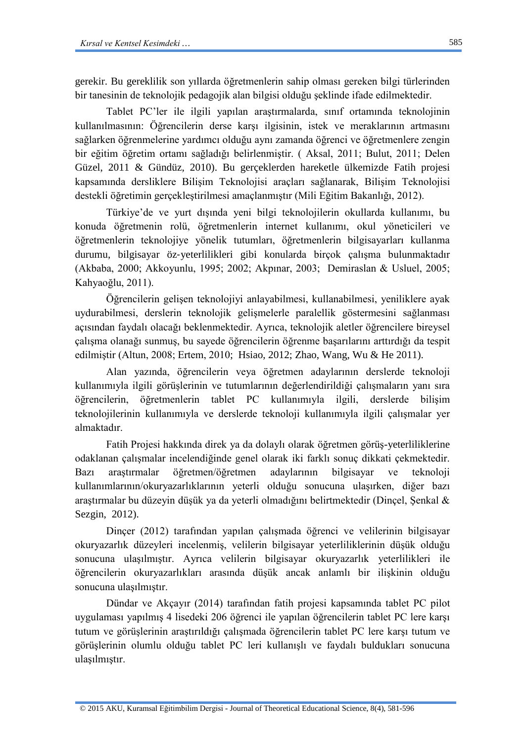gerekir. Bu gereklilik son yıllarda öğretmenlerin sahip olması gereken bilgi türlerinden bir tanesinin de teknolojik pedagojik alan bilgisi olduğu şeklinde ifade edilmektedir.

Tablet PC'ler ile ilgili yapılan araştırmalarda, sınıf ortamında teknolojinin kullanılmasının: Öğrencilerin derse karşı ilgisinin, istek ve meraklarının artmasını sağlarken öğrenmelerine yardımcı olduğu aynı zamanda öğrenci ve öğretmenlere zengin bir eğitim öğretim ortamı sağladığı belirlenmiştir. ( Aksal, 2011; Bulut, 2011; Delen Güzel, 2011 & Gündüz, 2010). Bu gerçeklerden hareketle ülkemizde Fatih projesi kapsamında dersliklere Bilişim Teknolojisi araçları sağlanarak, Bilişim Teknolojisi destekli öğretimin gerçekleştirilmesi amaçlanmıştır (Mili Eğitim Bakanlığı, 2012).

Türkiye'de ve yurt dışında yeni bilgi teknolojilerin okullarda kullanımı, bu konuda öğretmenin rolü, öğretmenlerin internet kullanımı, okul yöneticileri ve öğretmenlerin teknolojiye yönelik tutumları, öğretmenlerin bilgisayarları kullanma durumu, bilgisayar öz‐yeterlilikleri gibi konularda birçok çalışma bulunmaktadır (Akbaba, 2000; Akkoyunlu, 1995; 2002; Akpınar, 2003; Demiraslan & Usluel, 2005; Kahyaoğlu, 2011).

Öğrencilerin gelişen teknolojiyi anlayabilmesi, kullanabilmesi, yeniliklere ayak uydurabilmesi, derslerin teknolojik gelişmelerle paralellik göstermesini sağlanması açısından faydalı olacağı beklenmektedir. Ayrıca, teknolojik aletler öğrencilere bireysel çalışma olanağı sunmuş, bu sayede öğrencilerin öğrenme başarılarını arttırdığı da tespit edilmiştir (Altun, 2008; Ertem, 2010; Hsiao, 2012; Zhao, Wang, Wu & He 2011).

Alan yazında, öğrencilerin veya öğretmen adaylarının derslerde teknoloji kullanımıyla ilgili görüşlerinin ve tutumlarının değerlendirildiği çalışmaların yanı sıra öğrencilerin, öğretmenlerin tablet PC kullanımıyla ilgili, derslerde bilişim teknolojilerinin kullanımıyla ve derslerde teknoloji kullanımıyla ilgili çalışmalar yer almaktadır.

Fatih Projesi hakkında direk ya da dolaylı olarak öğretmen görüş-yeterliliklerine odaklanan çalışmalar incelendiğinde genel olarak iki farklı sonuç dikkati çekmektedir. Bazı araştırmalar öğretmen/öğretmen adaylarının bilgisayar ve teknoloji kullanımlarının/okuryazarlıklarının yeterli olduğu sonucuna ulaşırken, diğer bazı araştırmalar bu düzeyin düşük ya da yeterli olmadığını belirtmektedir (Dinçel, Şenkal & Sezgin, 2012).

Dinçer (2012) tarafından yapılan çalışmada öğrenci ve velilerinin bilgisayar okuryazarlık düzeyleri incelenmiş, velilerin bilgisayar yeterliliklerinin düşük olduğu sonucuna ulaşılmıştır. Ayrıca velilerin bilgisayar okuryazarlık yeterlilikleri ile öğrencilerin okuryazarlıkları arasında düşük ancak anlamlı bir ilişkinin olduğu sonucuna ulaşılmıştır.

Dündar ve Akçayır (2014) tarafından fatih projesi kapsamında tablet PC pilot uygulaması yapılmış 4 lisedeki 206 öğrenci ile yapılan öğrencilerin tablet PC lere karşı tutum ve görüşlerinin araştırıldığı çalışmada öğrencilerin tablet PC lere karşı tutum ve görüşlerinin olumlu olduğu tablet PC leri kullanışlı ve faydalı buldukları sonucuna ulaşılmıştır.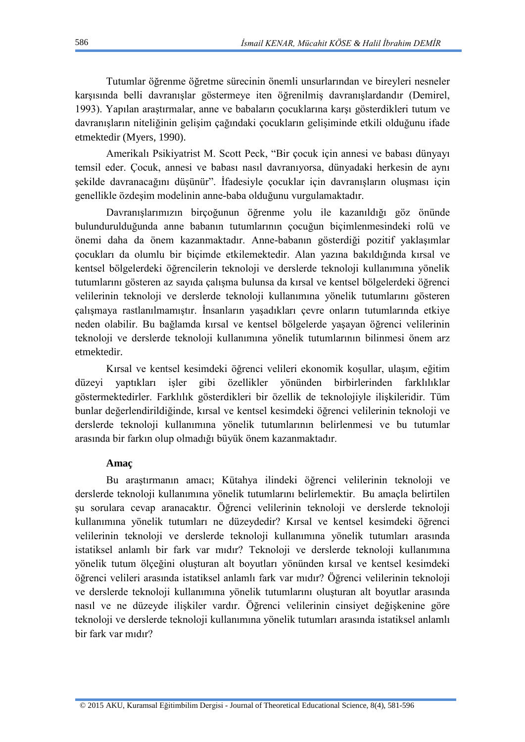Tutumlar öğrenme öğretme sürecinin önemli unsurlarından ve bireyleri nesneler karşısında belli davranışlar göstermeye iten öğrenilmiş davranışlardandır (Demirel, 1993). Yapılan araştırmalar, anne ve babaların çocuklarına karşı gösterdikleri tutum ve davranışların niteliğinin gelişim çağındaki çocukların gelişiminde etkili olduğunu ifade etmektedir (Myers, 1990).

Amerikalı Psikiyatrist M. Scott Peck, "Bir çocuk için annesi ve babası dünyayı temsil eder. Çocuk, annesi ve babası nasıl davranıyorsa, dünyadaki herkesin de aynı şekilde davranacağını düşünür". İfadesiyle çocuklar için davranışların oluşması için genellikle özdeşim modelinin anne-baba olduğunu vurgulamaktadır.

Davranışlarımızın birçoğunun öğrenme yolu ile kazanıldığı göz önünde bulundurulduğunda anne babanın tutumlarının çocuğun biçimlenmesindeki rolü ve önemi daha da önem kazanmaktadır. Anne-babanın gösterdiği pozitif yaklaşımlar çocukları da olumlu bir biçimde etkilemektedir. Alan yazına bakıldığında kırsal ve kentsel bölgelerdeki öğrencilerin teknoloji ve derslerde teknoloji kullanımına yönelik tutumlarını gösteren az sayıda çalışma bulunsa da kırsal ve kentsel bölgelerdeki öğrenci velilerinin teknoloji ve derslerde teknoloji kullanımına yönelik tutumlarını gösteren çalışmaya rastlanılmamıştır. İnsanların yaşadıkları çevre onların tutumlarında etkiye neden olabilir. Bu bağlamda kırsal ve kentsel bölgelerde yaşayan öğrenci velilerinin teknoloji ve derslerde teknoloji kullanımına yönelik tutumlarının bilinmesi önem arz etmektedir.

Kırsal ve kentsel kesimdeki öğrenci velileri ekonomik koşullar, ulaşım, eğitim düzeyi yaptıkları işler gibi özellikler yönünden birbirlerinden farklılıklar göstermektedirler. Farklılık gösterdikleri bir özellik de teknolojiyle ilişkileridir. Tüm bunlar değerlendirildiğinde, kırsal ve kentsel kesimdeki öğrenci velilerinin teknoloji ve derslerde teknoloji kullanımına yönelik tutumlarının belirlenmesi ve bu tutumlar arasında bir farkın olup olmadığı büyük önem kazanmaktadır.

### **Amaç**

Bu araştırmanın amacı; Kütahya ilindeki öğrenci velilerinin teknoloji ve derslerde teknoloji kullanımına yönelik tutumlarını belirlemektir. Bu amaçla belirtilen şu sorulara cevap aranacaktır. Öğrenci velilerinin teknoloji ve derslerde teknoloji kullanımına yönelik tutumları ne düzeydedir? Kırsal ve kentsel kesimdeki öğrenci velilerinin teknoloji ve derslerde teknoloji kullanımına yönelik tutumları arasında istatiksel anlamlı bir fark var mıdır? Teknoloji ve derslerde teknoloji kullanımına yönelik tutum ölçeğini oluşturan alt boyutları yönünden kırsal ve kentsel kesimdeki öğrenci velileri arasında istatiksel anlamlı fark var mıdır? Öğrenci velilerinin teknoloji ve derslerde teknoloji kullanımına yönelik tutumlarını oluşturan alt boyutlar arasında nasıl ve ne düzeyde ilişkiler vardır. Öğrenci velilerinin cinsiyet değişkenine göre teknoloji ve derslerde teknoloji kullanımına yönelik tutumları arasında istatiksel anlamlı bir fark var mıdır?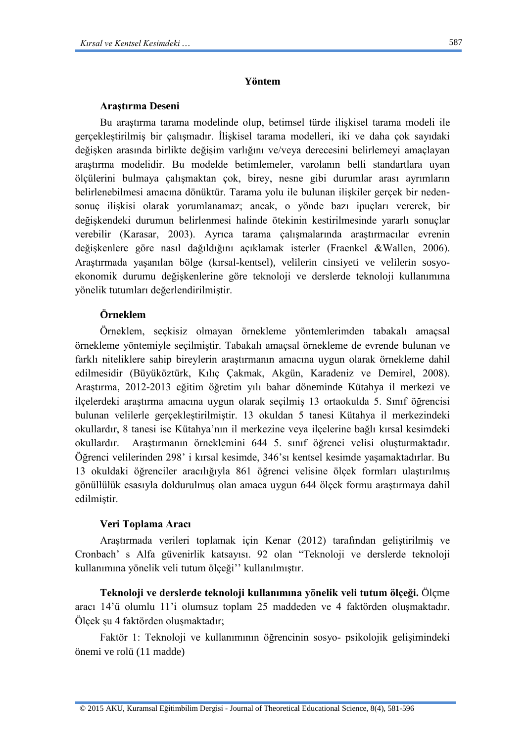### **Yöntem**

#### **Araştırma Deseni**

Bu araştırma tarama modelinde olup, betimsel türde ilişkisel tarama modeli ile gerçekleştirilmiş bir çalışmadır. İlişkisel tarama modelleri, iki ve daha çok sayıdaki değişken arasında birlikte değişim varlığını ve/veya derecesini belirlemeyi amaçlayan araştırma modelidir. Bu modelde betimlemeler, varolanın belli standartlara uyan ölçülerini bulmaya çalışmaktan çok, birey, nesne gibi durumlar arası ayrımların belirlenebilmesi amacına dönüktür. Tarama yolu ile bulunan ilişkiler gerçek bir nedensonuç ilişkisi olarak yorumlanamaz; ancak, o yönde bazı ipuçları vererek, bir değişkendeki durumun belirlenmesi halinde ötekinin kestirilmesinde yararlı sonuçlar verebilir (Karasar, 2003). Ayrıca tarama çalışmalarında araştırmacılar evrenin değişkenlere göre nasıl dağıldığını açıklamak isterler (Fraenkel &Wallen, 2006). Araştırmada yaşanılan bölge (kırsal-kentsel), velilerin cinsiyeti ve velilerin sosyoekonomik durumu değişkenlerine göre teknoloji ve derslerde teknoloji kullanımına yönelik tutumları değerlendirilmiştir.

## **Örneklem**

Örneklem, seçkisiz olmayan örnekleme yöntemlerimden tabakalı amaçsal örnekleme yöntemiyle seçilmiştir. Tabakalı amaçsal örnekleme de evrende bulunan ve farklı niteliklere sahip bireylerin araştırmanın amacına uygun olarak örnekleme dahil edilmesidir (Büyüköztürk, Kılıç Çakmak, Akgün, Karadeniz ve Demirel, 2008). Araştırma, 2012-2013 eğitim öğretim yılı bahar döneminde Kütahya il merkezi ve ilçelerdeki araştırma amacına uygun olarak seçilmiş 13 ortaokulda 5. Sınıf öğrencisi bulunan velilerle gerçekleştirilmiştir. 13 okuldan 5 tanesi Kütahya il merkezindeki okullardır, 8 tanesi ise Kütahya'nın il merkezine veya ilçelerine bağlı kırsal kesimdeki okullardır. Araştırmanın örneklemini 644 5. sınıf öğrenci velisi oluşturmaktadır. Öğrenci velilerinden 298' i kırsal kesimde, 346'sı kentsel kesimde yaşamaktadırlar. Bu 13 okuldaki öğrenciler aracılığıyla 861 öğrenci velisine ölçek formları ulaştırılmış gönüllülük esasıyla doldurulmuş olan amaca uygun 644 ölçek formu araştırmaya dahil edilmiştir.

### **Veri Toplama Aracı**

Araştırmada verileri toplamak için Kenar (2012) tarafından geliştirilmiş ve Cronbach' s Alfa güvenirlik katsayısı. 92 olan "Teknoloji ve derslerde teknoloji kullanımına yönelik veli tutum ölçeği'' kullanılmıştır.

**Teknoloji ve derslerde teknoloji kullanımına yönelik veli tutum ölçeği.** Ölçme aracı 14'ü olumlu 11'i olumsuz toplam 25 maddeden ve 4 faktörden oluşmaktadır. Ölçek şu 4 faktörden oluşmaktadır;

Faktör 1: Teknoloji ve kullanımının öğrencinin sosyo- psikolojik gelişimindeki önemi ve rolü (11 madde)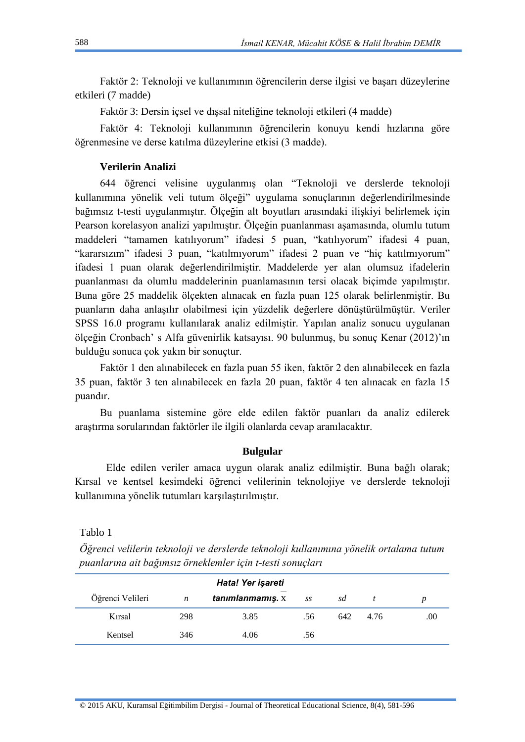Faktör 2: Teknoloji ve kullanımının öğrencilerin derse ilgisi ve başarı düzeylerine etkileri (7 madde)

Faktör 3: Dersin içsel ve dışsal niteliğine teknoloji etkileri (4 madde)

Faktör 4: Teknoloji kullanımının öğrencilerin konuyu kendi hızlarına göre öğrenmesine ve derse katılma düzeylerine etkisi (3 madde).

# **Verilerin Analizi**

644 öğrenci velisine uygulanmış olan "Teknoloji ve derslerde teknoloji kullanımına yönelik veli tutum ölçeği" uygulama sonuçlarının değerlendirilmesinde bağımsız t-testi uygulanmıştır. Ölçeğin alt boyutları arasındaki ilişkiyi belirlemek için Pearson korelasyon analizi yapılmıştır. Ölçeğin puanlanması aşamasında, olumlu tutum maddeleri "tamamen katılıyorum" ifadesi 5 puan, "katılıyorum" ifadesi 4 puan, "kararsızım" ifadesi 3 puan, "katılmıyorum" ifadesi 2 puan ve "hiç katılmıyorum" ifadesi 1 puan olarak değerlendirilmiştir. Maddelerde yer alan olumsuz ifadelerin puanlanması da olumlu maddelerinin puanlamasının tersi olacak biçimde yapılmıştır. Buna göre 25 maddelik ölçekten alınacak en fazla puan 125 olarak belirlenmiştir. Bu puanların daha anlaşılır olabilmesi için yüzdelik değerlere dönüştürülmüştür. Veriler SPSS 16.0 programı kullanılarak analiz edilmiştir. Yapılan analiz sonucu uygulanan ölçeğin Cronbach' s Alfa güvenirlik katsayısı. 90 bulunmuş, bu sonuç Kenar (2012)'ın bulduğu sonuca çok yakın bir sonuçtur.

Faktör 1 den alınabilecek en fazla puan 55 iken, faktör 2 den alınabilecek en fazla 35 puan, faktör 3 ten alınabilecek en fazla 20 puan, faktör 4 ten alınacak en fazla 15 puandır.

Bu puanlama sistemine göre elde edilen faktör puanları da analiz edilerek araştırma sorularından faktörler ile ilgili olanlarda cevap aranılacaktır.

# **Bulgular**

Elde edilen veriler amaca uygun olarak analiz edilmiştir. Buna bağlı olarak; Kırsal ve kentsel kesimdeki öğrenci velilerinin teknolojiye ve derslerde teknoloji kullanımına yönelik tutumları karşılaştırılmıştır.

Tablo 1

*Öğrenci velilerin teknoloji ve derslerde teknoloji kullanımına yönelik ortalama tutum puanlarına ait bağımsız örneklemler için t-testi sonuçları*

| Hata! Yer işareti |     |                  |     |     |      |     |  |  |  |
|-------------------|-----|------------------|-----|-----|------|-----|--|--|--|
| Öğrenci Velileri  | n   | tanımlanmamış. x | SS  | sd  |      |     |  |  |  |
| Kirsal            | 298 | 3.85             | .56 | 642 | 4.76 | .00 |  |  |  |
| Kentsel           | 346 | 4.06             | .56 |     |      |     |  |  |  |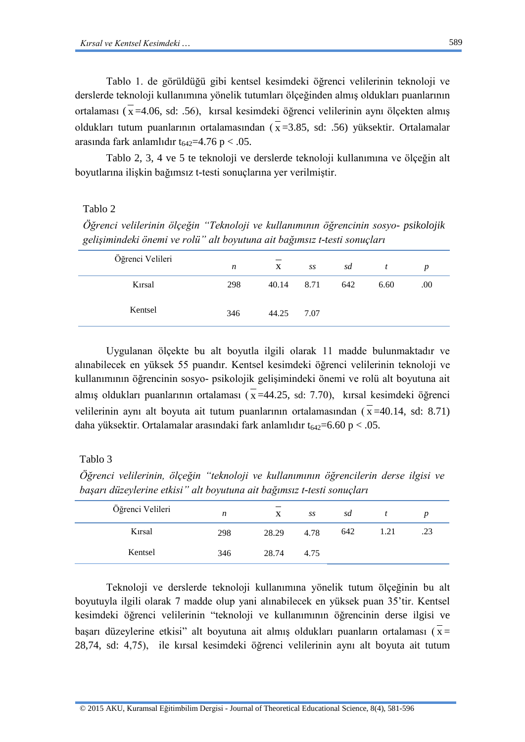Tablo 1. de görüldüğü gibi kentsel kesimdeki öğrenci velilerinin teknoloji ve derslerde teknoloji kullanımına yönelik tutumları ölçeğinden almış oldukları puanlarının ortalaması ( $\bar{x}$  =4.06, sd: .56), kırsal kesimdeki öğrenci velilerinin aynı ölçekten almış oldukları tutum puanlarının ortalamasından  $(\bar{x}=3.85, \text{ sd}: .56)$  yüksektir. Ortalamalar arasında fark anlamlıdır  $t_{642}$ =4.76 p < .05.

Tablo 2, 3, 4 ve 5 te teknoloji ve derslerde teknoloji kullanımına ve ölçeğin alt boyutlarına ilişkin bağımsız t-testi sonuçlarına yer verilmiştir.

# Tablo 2

*Öğrenci velilerinin ölçeğin "Teknoloji ve kullanımının öğrencinin sosyo- psikolojik gelişimindeki önemi ve rolü" alt boyutuna ait bağımsız t-testi sonuçları*

| Öğrenci Velileri | n   | $\mathbf{X}$ | SS   | sd  |      | p   |
|------------------|-----|--------------|------|-----|------|-----|
| Kırsal           | 298 | 40.14        | 8.71 | 642 | 6.60 | .00 |
| Kentsel          | 346 | 44.25        | 7.07 |     |      |     |

Uygulanan ölçekte bu alt boyutla ilgili olarak 11 madde bulunmaktadır ve alınabilecek en yüksek 55 puandır. Kentsel kesimdeki öğrenci velilerinin teknoloji ve kullanımının öğrencinin sosyo- psikolojik gelişimindeki önemi ve rolü alt boyutuna ait almış oldukları puanlarının ortalaması ( $\bar{x}$  =44.25, sd: 7.70), kırsal kesimdeki öğrenci velilerinin aynı alt boyuta ait tutum puanlarının ortalamasından ( $\overline{x}$ =40.14, sd: 8.71) daha yüksektir. Ortalamalar arasındaki fark anlamlıdır  $t_{642} = 6.60 \text{ p} < .05$ .

# Tablo 3

*Öğrenci velilerinin, ölçeğin "teknoloji ve kullanımının öğrencilerin derse ilgisi ve başarı düzeylerine etkisi" alt boyutuna ait bağımsız t-testi sonuçları*

| Öğrenci Velileri | n   | X     | SS   | sd  |      |     |
|------------------|-----|-------|------|-----|------|-----|
| Kırsal           | 298 | 28.29 | 4.78 | 642 | 1.21 | .23 |
| Kentsel          | 346 | 28.74 | 4.75 |     |      |     |

Teknoloji ve derslerde teknoloji kullanımına yönelik tutum ölçeğinin bu alt boyutuyla ilgili olarak 7 madde olup yani alınabilecek en yüksek puan 35'tir. Kentsel kesimdeki öğrenci velilerinin "teknoloji ve kullanımının öğrencinin derse ilgisi ve basarı düzeylerine etkisi" alt boyutuna ait almış oldukları puanların ortalaması  $\overline{x}$  = 28,74, sd: 4,75), ile kırsal kesimdeki öğrenci velilerinin aynı alt boyuta ait tutum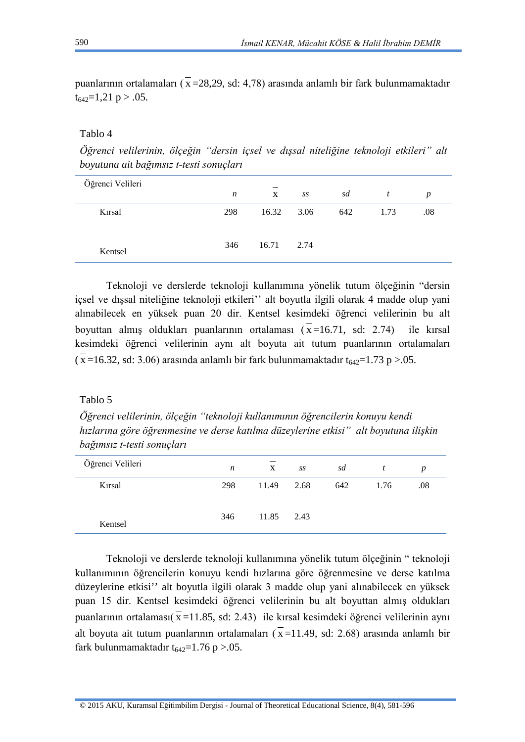puanlarının ortalamaları ( $\bar{x}$  = 28, 29, sd: 4, 78) arasında anlamlı bir fark bulunmamaktadır  $t_{642}=1,21 \text{ p} > .05.$ 

### Tablo 4

*Öğrenci velilerinin, ölçeğin "dersin içsel ve dışsal niteliğine teknoloji etkileri" alt boyutuna ait bağımsız t-testi sonuçları*

| Öğrenci Velileri | $\boldsymbol{n}$ | X     | SS   | sd  | t    | $\boldsymbol{p}$ |
|------------------|------------------|-------|------|-----|------|------------------|
| Kırsal           | 298              | 16.32 | 3.06 | 642 | 1.73 | .08              |
| Kentsel          | 346              | 16.71 | 2.74 |     |      |                  |

Teknoloji ve derslerde teknoloji kullanımına yönelik tutum ölçeğinin "dersin içsel ve dışsal niteliğine teknoloji etkileri'' alt boyutla ilgili olarak 4 madde olup yani alınabilecek en yüksek puan 20 dir. Kentsel kesimdeki öğrenci velilerinin bu alt boyuttan almış oldukları puanlarının ortalaması  $(\bar{x}=16.71, \text{ sd: } 2.74)$  ile kırsal kesimdeki öğrenci velilerinin aynı alt boyuta ait tutum puanlarının ortalamaları  $(\overline{x}$  =16.32, sd: 3.06) arasında anlamlı bir fark bulunmamaktadır t<sub>642</sub>=1.73 p >.05.

### Tablo 5

*Öğrenci velilerinin, ölçeğin "teknoloji kullanımının öğrencilerin konuyu kendi hızlarına göre öğrenmesine ve derse katılma düzeylerine etkisi" alt boyutuna ilişkin bağımsız t-testi sonuçları*

| Öğrenci Velileri | n   | $\mathbf{X}$ | SS   | sd  | t    | p   |  |
|------------------|-----|--------------|------|-----|------|-----|--|
| Kırsal           | 298 | 11.49        | 2.68 | 642 | 1.76 | .08 |  |
| Kentsel          | 346 | 11.85        | 2.43 |     |      |     |  |

Teknoloji ve derslerde teknoloji kullanımına yönelik tutum ölçeğinin " teknoloji kullanımının öğrencilerin konuyu kendi hızlarına göre öğrenmesine ve derse katılma düzeylerine etkisi'' alt boyutla ilgili olarak 3 madde olup yani alınabilecek en yüksek puan 15 dir. Kentsel kesimdeki öğrenci velilerinin bu alt boyuttan almış oldukları puanlarının ortalaması $(\bar{x} = 11.85, s.d. 2.43)$  ile kırsal kesimdeki öğrenci velilerinin aynı alt boyuta ait tutum puanlarının ortalamaları ( $\overline{x}$  = 11.49, sd: 2.68) arasında anlamlı bir fark bulunmamaktadır  $t_{642}=1.76$  p > 0.05.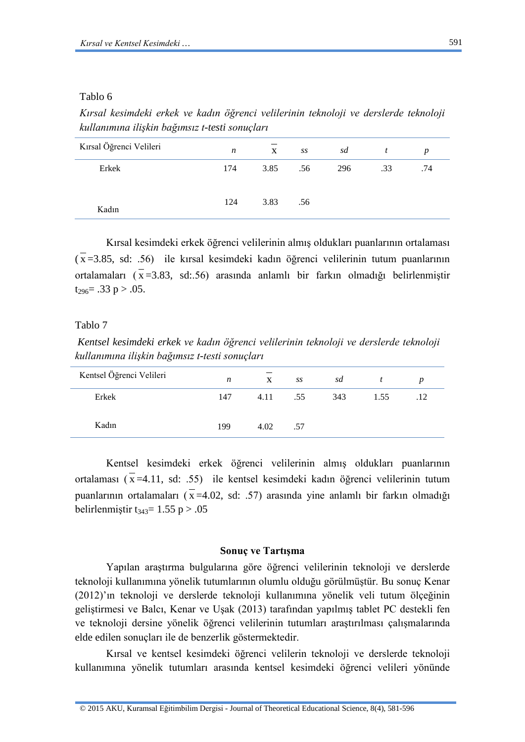### Tablo 6

*Kırsal kesimdeki erkek ve kadın öğrenci velilerinin teknoloji ve derslerde teknoloji kullanımına ilişkin bağımsız t-testi sonuçları*

| Kırsal Öğrenci Velileri | n   | $\mathbf{X}$ | SS  | sd  |     | p   |
|-------------------------|-----|--------------|-----|-----|-----|-----|
| Erkek                   | 174 | 3.85         | .56 | 296 | .33 | .74 |
| Kadın                   | 124 | 3.83         | .56 |     |     |     |

Kırsal kesimdeki erkek öğrenci velilerinin almış oldukları puanlarının ortalaması  $(\bar{x} = 3.85, \text{ sd: } 0.56)$  ile kırsal kesimdeki kadın öğrenci velilerinin tutum puanlarının ortalamaları  $(\bar{x} = 3.83, \text{ sd} : .56)$  arasında anlamlı bir farkın olmadığı belirlenmiştir  $t_{296} = .33 \text{ p} > .05.$ 

# Tablo 7

*Kentsel kesimdeki erkek ve kadın öğrenci velilerinin teknoloji ve derslerde teknoloji kullanımına ilişkin bağımsız t-testi sonuçları* 

| Kentsel Öğrenci Velileri | $\boldsymbol{n}$ | $\mathbf{X}$ | SS  | sd  |      | $\boldsymbol{p}$ |  |
|--------------------------|------------------|--------------|-----|-----|------|------------------|--|
| Erkek                    | 147              | 4.11         | .55 | 343 | 1.55 | .12              |  |
| Kadın                    | 199              | 4.02         | .57 |     |      |                  |  |

Kentsel kesimdeki erkek öğrenci velilerinin almış oldukları puanlarının ortalaması  $(\bar{x} = 4.11, \text{ sd: } .55)$  ile kentsel kesimdeki kadın öğrenci velilerinin tutum puanlarının ortalamaları ( $\bar{x}$  =4.02, sd: .57) arasında yine anlamlı bir farkın olmadığı belirlenmiştir t<sub>343</sub> = 1.55 p > .05

#### **Sonuç ve Tartışma**

Yapılan araştırma bulgularına göre öğrenci velilerinin teknoloji ve derslerde teknoloji kullanımına yönelik tutumlarının olumlu olduğu görülmüştür. Bu sonuç Kenar (2012)'ın teknoloji ve derslerde teknoloji kullanımına yönelik veli tutum ölçeğinin geliştirmesi ve Balcı, Kenar ve Uşak (2013) tarafından yapılmış tablet PC destekli fen ve teknoloji dersine yönelik öğrenci velilerinin tutumları araştırılması çalışmalarında elde edilen sonuçları ile de benzerlik göstermektedir.

Kırsal ve kentsel kesimdeki öğrenci velilerin teknoloji ve derslerde teknoloji kullanımına yönelik tutumları arasında kentsel kesimdeki öğrenci velileri yönünde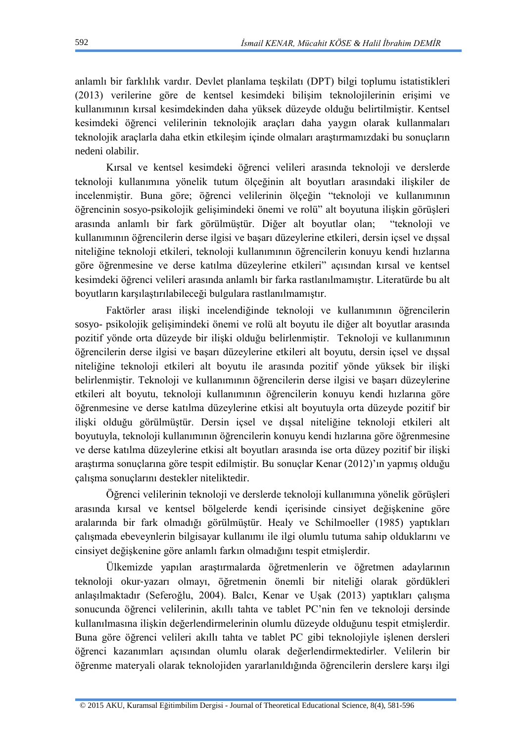anlamlı bir farklılık vardır. Devlet planlama teşkilatı (DPT) bilgi toplumu istatistikleri (2013) verilerine göre de kentsel kesimdeki bilişim teknolojilerinin erişimi ve kullanımının kırsal kesimdekinden daha yüksek düzeyde olduğu belirtilmiştir. Kentsel kesimdeki öğrenci velilerinin teknolojik araçları daha yaygın olarak kullanmaları teknolojik araçlarla daha etkin etkileşim içinde olmaları araştırmamızdaki bu sonuçların nedeni olabilir.

Kırsal ve kentsel kesimdeki öğrenci velileri arasında teknoloji ve derslerde teknoloji kullanımına yönelik tutum ölçeğinin alt boyutları arasındaki ilişkiler de incelenmiştir. Buna göre; öğrenci velilerinin ölçeğin "teknoloji ve kullanımının öğrencinin sosyo-psikolojik gelişimindeki önemi ve rolü" alt boyutuna ilişkin görüşleri arasında anlamlı bir fark görülmüştür. Diğer alt boyutlar olan; "teknoloji ve kullanımının öğrencilerin derse ilgisi ve başarı düzeylerine etkileri, dersin içsel ve dışsal niteliğine teknoloji etkileri, teknoloji kullanımının öğrencilerin konuyu kendi hızlarına göre öğrenmesine ve derse katılma düzeylerine etkileri" açısından kırsal ve kentsel kesimdeki öğrenci velileri arasında anlamlı bir farka rastlanılmamıştır. Literatürde bu alt boyutların karşılaştırılabileceği bulgulara rastlanılmamıştır.

Faktörler arası ilişki incelendiğinde teknoloji ve kullanımının öğrencilerin sosyo- psikolojik gelişimindeki önemi ve rolü alt boyutu ile diğer alt boyutlar arasında pozitif yönde orta düzeyde bir ilişki olduğu belirlenmiştir. Teknoloji ve kullanımının öğrencilerin derse ilgisi ve başarı düzeylerine etkileri alt boyutu, dersin içsel ve dışsal niteliğine teknoloji etkileri alt boyutu ile arasında pozitif yönde yüksek bir ilişki belirlenmiştir. Teknoloji ve kullanımının öğrencilerin derse ilgisi ve başarı düzeylerine etkileri alt boyutu, teknoloji kullanımının öğrencilerin konuyu kendi hızlarına göre öğrenmesine ve derse katılma düzeylerine etkisi alt boyutuyla orta düzeyde pozitif bir ilişki olduğu görülmüştür. Dersin içsel ve dışsal niteliğine teknoloji etkileri alt boyutuyla, teknoloji kullanımının öğrencilerin konuyu kendi hızlarına göre öğrenmesine ve derse katılma düzeylerine etkisi alt boyutları arasında ise orta düzey pozitif bir ilişki araştırma sonuçlarına göre tespit edilmiştir. Bu sonuçlar Kenar (2012)'ın yapmış olduğu çalışma sonuçlarını destekler niteliktedir.

Öğrenci velilerinin teknoloji ve derslerde teknoloji kullanımına yönelik görüşleri arasında kırsal ve kentsel bölgelerde kendi içerisinde cinsiyet değişkenine göre aralarında bir fark olmadığı görülmüştür. Healy ve Schilmoeller (1985) yaptıkları çalışmada ebeveynlerin bilgisayar kullanımı ile ilgi olumlu tutuma sahip olduklarını ve cinsiyet değişkenine göre anlamlı farkın olmadığını tespit etmişlerdir.

Ülkemizde yapılan araştırmalarda öğretmenlerin ve öğretmen adaylarının teknoloji okur‐yazarı olmayı, öğretmenin önemli bir niteliği olarak gördükleri anlaşılmaktadır (Seferoğlu, 2004). Balcı, Kenar ve Uşak (2013) yaptıkları çalışma sonucunda öğrenci velilerinin, akıllı tahta ve tablet PC'nin fen ve teknoloji dersinde kullanılmasına ilişkin değerlendirmelerinin olumlu düzeyde olduğunu tespit etmişlerdir. Buna göre öğrenci velileri akıllı tahta ve tablet PC gibi teknolojiyle işlenen dersleri öğrenci kazanımları açısından olumlu olarak değerlendirmektedirler. Velilerin bir öğrenme materyali olarak teknolojiden yararlanıldığında öğrencilerin derslere karşı ilgi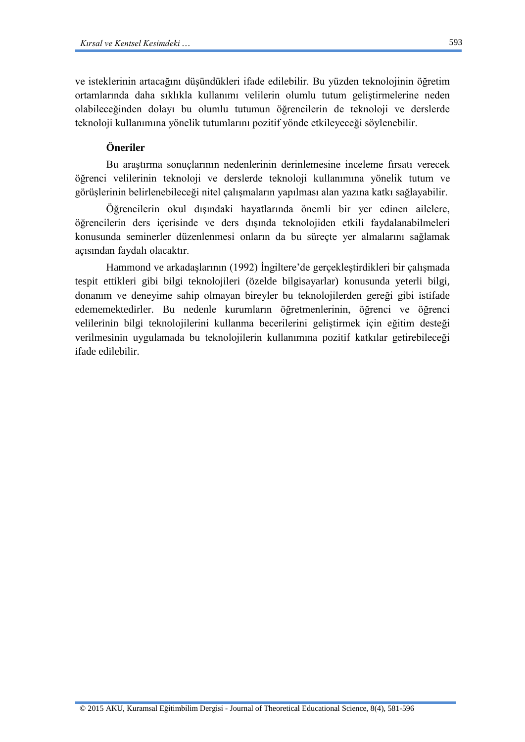ve isteklerinin artacağını düşündükleri ifade edilebilir. Bu yüzden teknolojinin öğretim ortamlarında daha sıklıkla kullanımı velilerin olumlu tutum geliştirmelerine neden olabileceğinden dolayı bu olumlu tutumun öğrencilerin de teknoloji ve derslerde teknoloji kullanımına yönelik tutumlarını pozitif yönde etkileyeceği söylenebilir.

# **Öneriler**

Bu araştırma sonuçlarının nedenlerinin derinlemesine inceleme fırsatı verecek öğrenci velilerinin teknoloji ve derslerde teknoloji kullanımına yönelik tutum ve görüşlerinin belirlenebileceği nitel çalışmaların yapılması alan yazına katkı sağlayabilir.

Öğrencilerin okul dışındaki hayatlarında önemli bir yer edinen ailelere, öğrencilerin ders içerisinde ve ders dışında teknolojiden etkili faydalanabilmeleri konusunda seminerler düzenlenmesi onların da bu süreçte yer almalarını sağlamak açısından faydalı olacaktır.

Hammond ve arkadaşlarının (1992) İngiltere'de gerçekleştirdikleri bir çalışmada tespit ettikleri gibi bilgi teknolojileri (özelde bilgisayarlar) konusunda yeterli bilgi, donanım ve deneyime sahip olmayan bireyler bu teknolojilerden gereği gibi istifade edememektedirler. Bu nedenle kurumların öğretmenlerinin, öğrenci ve öğrenci velilerinin bilgi teknolojilerini kullanma becerilerini geliştirmek için eğitim desteği verilmesinin uygulamada bu teknolojilerin kullanımına pozitif katkılar getirebileceği ifade edilebilir.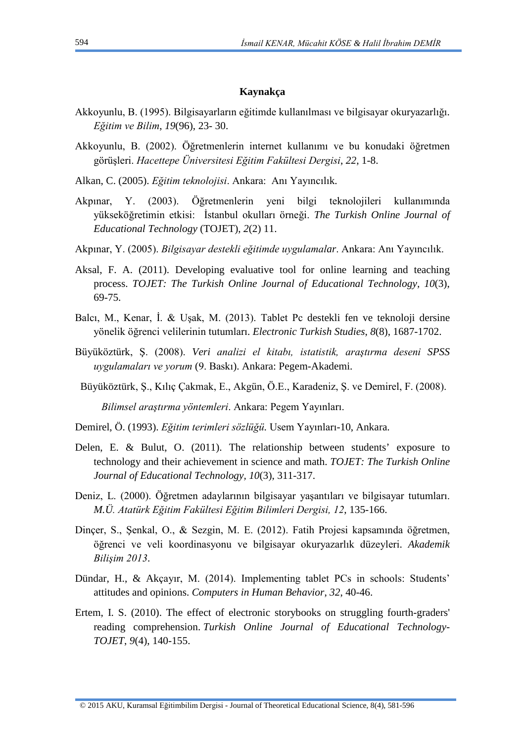### **Kaynakça**

- Akkoyunlu, B. (1995). Bilgisayarların eğitimde kullanılması ve bilgisayar okuryazarlığı. *Eğitim ve Bilim*, *19*(96), 23- 30.
- Akkoyunlu, B. (2002). Öğretmenlerin internet kullanımı ve bu konudaki öğretmen görüşleri. *Hacettepe Üniversitesi Eğitim Fakültesi Dergisi*, *22*, 1-8.
- Alkan, C. (2005). *Eğitim teknolojisi*. Ankara: Anı Yayıncılık.
- Akpınar, Y. (2003). Öğretmenlerin yeni bilgi teknolojileri kullanımında yükseköğretimin etkisi: İstanbul okulları örneği. *The Turkish Online Journal of Educational Technology* (TOJET), *2*(2) 11.
- Akpınar, Y. (2005). *Bilgisayar destekli eğitimde uygulamalar*. Ankara: Anı Yayıncılık.
- Aksal, F. A. (2011). Developing evaluative tool for online learning and teaching process. *TOJET: The Turkish Online Journal of Educational Technology, 10*(3), 69-75.
- Balcı, M., Kenar, İ. & Uşak, M. (2013). Tablet Pc destekli fen ve teknoloji dersine yönelik öğrenci velilerinin tutumları. *Electronic Turkish Studies*, *8*(8), 1687-1702.
- Büyüköztürk, Ş. (2008). *Veri analizi el kitabı, istatistik, araştırma deseni SPSS uygulamaları ve yorum* (9. Baskı). Ankara: Pegem-Akademi.
- Büyüköztürk, Ş., Kılıç Çakmak, E., Akgün, Ö.E., Karadeniz, Ş. ve Demirel, F. (2008).

 *Bilimsel araştırma yöntemleri*. Ankara: Pegem Yayınları.

- Demirel, Ö. (1993). *Eğitim terimleri sözlüğü.* Usem Yayınları-10, Ankara.
- Delen, E. & Bulut, O. (2011). The relationship between students' exposure to technology and their achievement in science and math. *TOJET: The Turkish Online Journal of Educational Technology, 10*(3), 311-317.
- Deniz, L. (2000). Öğretmen adaylarının bilgisayar yaşantıları ve bilgisayar tutumları. *M.Ü. Atatürk Eğitim Fakültesi Eğitim Bilimleri Dergisi, 12*, 135-166.
- Dinçer, S., Şenkal, O., & Sezgin, M. E. (2012). Fatih Projesi kapsamında öğretmen, öğrenci ve veli koordinasyonu ve bilgisayar okuryazarlık düzeyleri. *Akademik Bilişim 2013*.
- Dündar, H., & Akçayır, M. (2014). Implementing tablet PCs in schools: Students' attitudes and opinions. *Computers in Human Behavior*, *32*, 40-46.
- Ertem, I. S. (2010). The effect of electronic storybooks on struggling fourth-graders' reading comprehension. *Turkish Online Journal of Educational Technology-TOJET*, *9*(4), 140-155.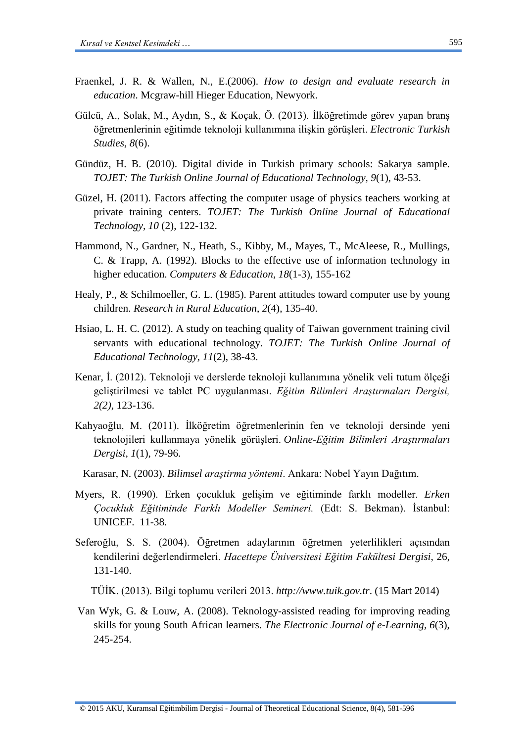- Fraenkel, J. R. & Wallen, N., E.(2006). *How to design and evaluate research in education*. Mcgraw-hill Hieger Education, Newyork.
- Gülcü, A., Solak, M., Aydın, S., & Koçak, Ö. (2013). İlköğretimde görev yapan branş öğretmenlerinin eğitimde teknoloji kullanımına ilişkin görüşleri. *Electronic Turkish Studies*, *8*(6).
- Gündüz, H. B. (2010). Digital divide in Turkish primary schools: Sakarya sample. *TOJET: The Turkish Online Journal of Educational Technology, 9*(1), 43-53.
- Güzel, H. (2011). Factors affecting the computer usage of physics teachers working at private training centers. *TOJET: The Turkish Online Journal of Educational Technology, 10* (2), 122-132.
- Hammond, N., Gardner, N., Heath, S., Kibby, M., Mayes, T., McAleese, R., Mullings, C. & Trapp, A. (1992). Blocks to the effective use of information technology in higher education. *Computers & Education*, *18*(1-3), 155-162
- Healy, P., & Schilmoeller, G. L. (1985). Parent attitudes toward computer use by young children. *Research in Rural Education*, *2*(4), 135-40.
- Hsiao, L. H. C. (2012). A study on teaching quality of Taiwan government training civil servants with educational technology. *TOJET: The Turkish Online Journal of Educational Technology, 11*(2), 38-43.
- Kenar, İ. (2012). Teknoloji ve derslerde teknoloji kullanımına yönelik veli tutum ölçeği geliştirilmesi ve tablet PC uygulanması. *Eğitim Bilimleri Araştırmaları Dergisi, 2(2)*, 123-136.
- Kahyaoğlu, M. (2011). İlköğretim öğretmenlerinin fen ve teknoloji dersinde yeni teknolojileri kullanmaya yönelik görüşleri. *Online-Eğitim Bilimleri Araştırmaları Dergisi*, *1*(1), 79-96.
	- Karasar, N. (2003). *Bilimsel araştirma yöntemi*. Ankara: Nobel Yayın Dağıtım.
- Myers, R. (1990). Erken çocukluk gelişim ve eğitiminde farklı modeller. *Erken Çocukluk Eğitiminde Farklı Modeller Semineri.* (Edt: S. Bekman). İstanbul: UNICEF. 11-38.
- Seferoğlu, S. S. (2004). Öğretmen adaylarının öğretmen yeterlilikleri açısından kendilerini değerlendirmeleri. *Hacettepe Üniversitesi Eğitim Fakültesi Dergisi*, 26, 131-140.

TÜİK. (2013). Bilgi toplumu verileri 2013. *http://www.tuik.gov.tr*. (15 Mart 2014)

Van Wyk, G. & Louw, A. (2008). Teknology-assisted reading for improving reading skills for young South African learners. *The Electronic Journal of e-Learning, 6*(3), 245-254.